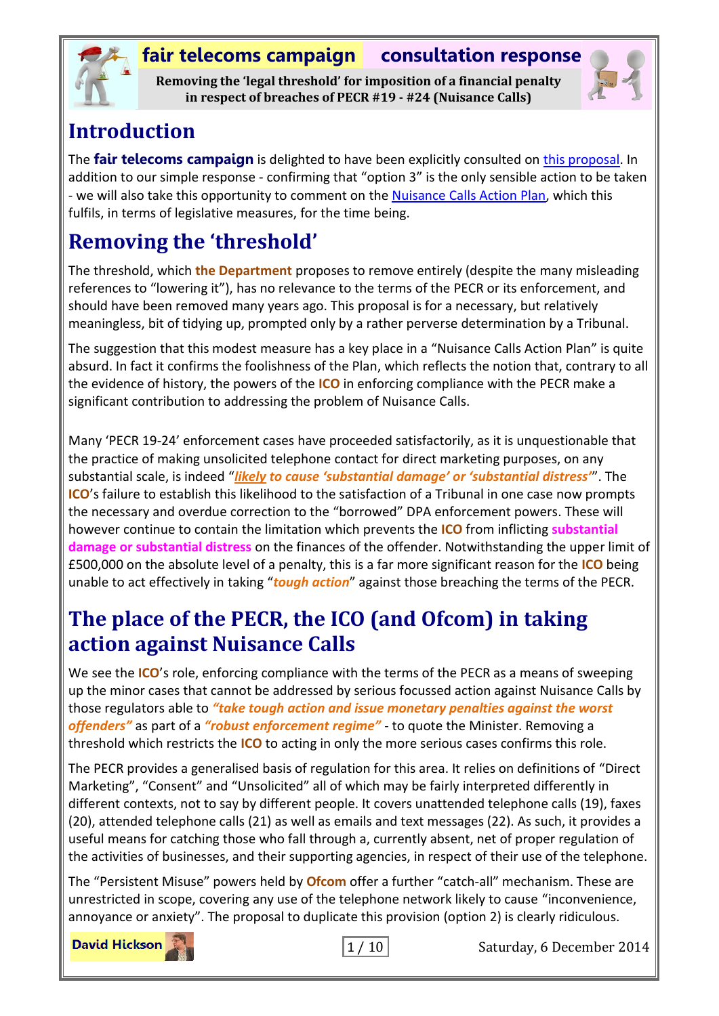

**Removing the 'legal threshold' for imposition of a financial penalty in respect of breaches of PECR #19 - #24 (Nuisance Calls)**



### **Introduction**

The **fair telecoms campaign** is delighted to have been explicitly consulted on [this proposal.](https://www.gov.uk/government/uploads/system/uploads/attachment_data/file/367498/LOWERING_THE_LEGAL_THRESHOLD__.pdf) In addition to our simple response - confirming that "option 3" is the only sensible action to be taken - we will also take this opportunity to comment on the [Nuisance Calls Action Plan,](https://www.gov.uk/government/uploads/system/uploads/attachment_data/file/299140/Action_Plan.pdf) which this fulfils, in terms of legislative measures, for the time being.

# **Removing the 'threshold'**

The threshold, which **the Department** proposes to remove entirely (despite the many misleading references to "lowering it"), has no relevance to the terms of the PECR or its enforcement, and should have been removed many years ago. This proposal is for a necessary, but relatively meaningless, bit of tidying up, prompted only by a rather perverse determination by a Tribunal.

The suggestion that this modest measure has a key place in a "Nuisance Calls Action Plan" is quite absurd. In fact it confirms the foolishness of the Plan, which reflects the notion that, contrary to all the evidence of history, the powers of the **ICO** in enforcing compliance with the PECR make a significant contribution to addressing the problem of Nuisance Calls.

Many 'PECR 19-24' enforcement cases have proceeded satisfactorily, as it is unquestionable that the practice of making unsolicited telephone contact for direct marketing purposes, on any substantial scale, is indeed "*likely to cause 'substantial damage' or 'substantial distress'*". The **ICO**'s failure to establish this likelihood to the satisfaction of a Tribunal in one case now prompts the necessary and overdue correction to the "borrowed" DPA enforcement powers. These will however continue to contain the limitation which prevents the **ICO** from inflicting **substantial damage or substantial distress** on the finances of the offender. Notwithstanding the upper limit of £500,000 on the absolute level of a penalty, this is a far more significant reason for the **ICO** being unable to act effectively in taking "*tough action*" against those breaching the terms of the PECR.

## **The place of the PECR, the ICO (and Ofcom) in taking action against Nuisance Calls**

We see the **ICO**'s role, enforcing compliance with the terms of the PECR as a means of sweeping up the minor cases that cannot be addressed by serious focussed action against Nuisance Calls by those regulators able to *"take tough action and issue monetary penalties against the worst offenders"* as part of a *"robust enforcement regime"* - to quote the Minister. Removing a threshold which restricts the **ICO** to acting in only the more serious cases confirms this role.

The PECR provides a generalised basis of regulation for this area. It relies on definitions of "Direct Marketing", "Consent" and "Unsolicited" all of which may be fairly interpreted differently in different contexts, not to say by different people. It covers unattended telephone calls (19), faxes (20), attended telephone calls (21) as well as emails and text messages (22). As such, it provides a useful means for catching those who fall through a, currently absent, net of proper regulation of the activities of businesses, and their supporting agencies, in respect of their use of the telephone.

The "Persistent Misuse" powers held by **Ofcom** offer a further "catch-all" mechanism. These are unrestricted in scope, covering any use of the telephone network likely to cause "inconvenience, annoyance or anxiety". The proposal to duplicate this provision (option 2) is clearly ridiculous.

**David Hickson** 

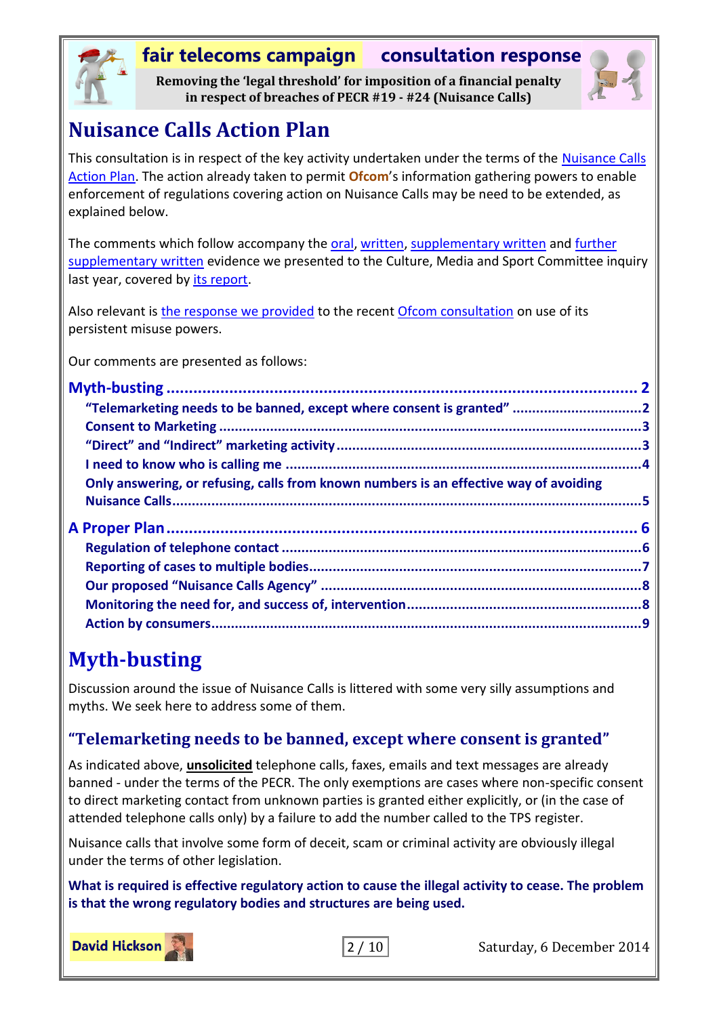

**Removing the 'legal threshold' for imposition of a financial penalty in respect of breaches of PECR #19 - #24 (Nuisance Calls)**



# **Nuisance Calls Action Plan**

This consultation is in respect of the key activity undertaken under the terms of the [Nuisance Calls](https://www.gov.uk/government/uploads/system/uploads/attachment_data/file/299140/Action_Plan.pdf)  [Action Plan.](https://www.gov.uk/government/uploads/system/uploads/attachment_data/file/299140/Action_Plan.pdf) The action already taken to permit **Ofcom**'s information gathering powers to enable enforcement of regulations covering action on Nuisance Calls may be need to be extended, as explained below.

The comments which follow accompany the [oral,](http://www.publications.parliament.uk/pa/cm201314/cmselect/cmcumeds/636/130903.htm) [written,](http://www.publications.parliament.uk/pa/cm201314/cmselect/cmcumeds/636/636we03.htm) [supplementary written](http://www.publications.parliament.uk/pa/cm201314/cmselect/cmcumeds/636/636we04.htm) and further [supplementary written](http://www.publications.parliament.uk/pa/cm201314/cmselect/cmcumeds/636/636we05.htm) evidence we presented to the Culture, Media and Sport Committee inquiry last year, covered by [its report.](http://www.publications.parliament.uk/pa/cm201314/cmselect/cmcumeds/636/63602.htm)

Also relevant is [the response we provided](http://stakeholders.ofcom.org.uk/binaries/consultations/review-persistent-misuse-powers/responses/fair_telecoms_campaign.pdf) to the recent [Ofcom consultation](http://stakeholders.ofcom.org.uk/consultations/review-persistent-misuse-powers/) on use of its persistent misuse powers.

Our comments are presented as follows:

| "Telemarketing needs to be banned, except where consent is granted" 2                 |  |
|---------------------------------------------------------------------------------------|--|
|                                                                                       |  |
|                                                                                       |  |
|                                                                                       |  |
| Only answering, or refusing, calls from known numbers is an effective way of avoiding |  |
|                                                                                       |  |
|                                                                                       |  |
|                                                                                       |  |
|                                                                                       |  |
|                                                                                       |  |
|                                                                                       |  |
|                                                                                       |  |

# <span id="page-1-0"></span>**Myth-busting**

Discussion around the issue of Nuisance Calls is littered with some very silly assumptions and myths. We seek here to address some of them.

#### <span id="page-1-1"></span>**"Telemarketing needs to be banned, except where consent is granted"**

As indicated above, **unsolicited** telephone calls, faxes, emails and text messages are already banned - under the terms of the PECR. The only exemptions are cases where non-specific consent to direct marketing contact from unknown parties is granted either explicitly, or (in the case of attended telephone calls only) by a failure to add the number called to the TPS register.

Nuisance calls that involve some form of deceit, scam or criminal activity are obviously illegal under the terms of other legislation.

**What is required is effective regulatory action to cause the illegal activity to cease. The problem is that the wrong regulatory bodies and structures are being used.**



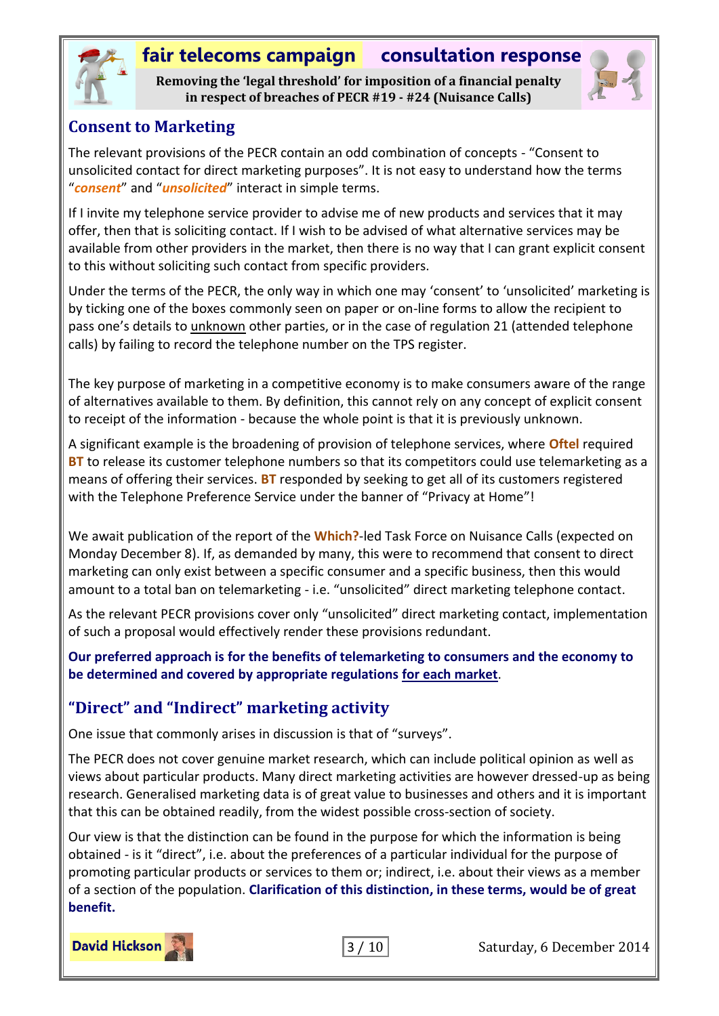

**Removing the 'legal threshold' for imposition of a financial penalty in respect of breaches of PECR #19 - #24 (Nuisance Calls)**



#### <span id="page-2-0"></span>**Consent to Marketing**

The relevant provisions of the PECR contain an odd combination of concepts - "Consent to unsolicited contact for direct marketing purposes". It is not easy to understand how the terms "*consent*" and "*unsolicited*" interact in simple terms.

If I invite my telephone service provider to advise me of new products and services that it may offer, then that is soliciting contact. If I wish to be advised of what alternative services may be available from other providers in the market, then there is no way that I can grant explicit consent to this without soliciting such contact from specific providers.

Under the terms of the PECR, the only way in which one may 'consent' to 'unsolicited' marketing is by ticking one of the boxes commonly seen on paper or on-line forms to allow the recipient to pass one's details to unknown other parties, or in the case of regulation 21 (attended telephone calls) by failing to record the telephone number on the TPS register.

The key purpose of marketing in a competitive economy is to make consumers aware of the range of alternatives available to them. By definition, this cannot rely on any concept of explicit consent to receipt of the information - because the whole point is that it is previously unknown.

A significant example is the broadening of provision of telephone services, where **Oftel** required **BT** to release its customer telephone numbers so that its competitors could use telemarketing as a means of offering their services. **BT** responded by seeking to get all of its customers registered with the Telephone Preference Service under the banner of "Privacy at Home"!

We await publication of the report of the **Which?**-led Task Force on Nuisance Calls (expected on Monday December 8). If, as demanded by many, this were to recommend that consent to direct marketing can only exist between a specific consumer and a specific business, then this would amount to a total ban on telemarketing - i.e. "unsolicited" direct marketing telephone contact.

As the relevant PECR provisions cover only "unsolicited" direct marketing contact, implementation of such a proposal would effectively render these provisions redundant.

**Our preferred approach is for the benefits of telemarketing to consumers and the economy to be determined and covered by appropriate regulations for each market**.

#### <span id="page-2-1"></span>**"Direct" and "Indirect" marketing activity**

One issue that commonly arises in discussion is that of "surveys".

The PECR does not cover genuine market research, which can include political opinion as well as views about particular products. Many direct marketing activities are however dressed-up as being research. Generalised marketing data is of great value to businesses and others and it is important that this can be obtained readily, from the widest possible cross-section of society.

Our view is that the distinction can be found in the purpose for which the information is being obtained - is it "direct", i.e. about the preferences of a particular individual for the purpose of promoting particular products or services to them or; indirect, i.e. about their views as a member of a section of the population. **Clarification of this distinction, in these terms, would be of great benefit.**



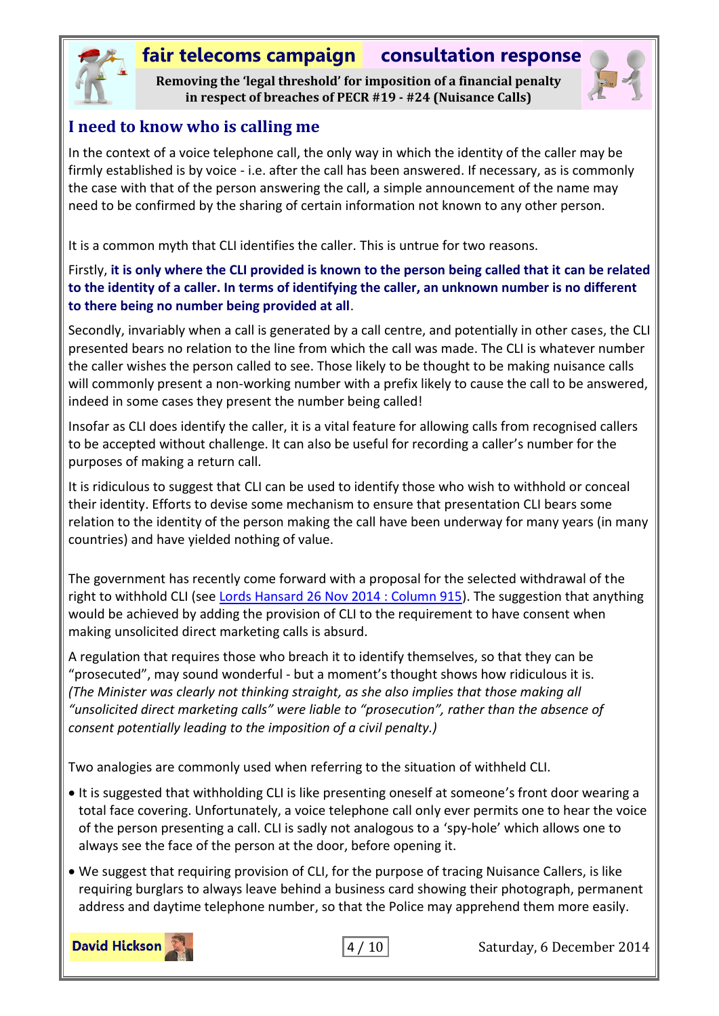

**Removing the 'legal threshold' for imposition of a financial penalty in respect of breaches of PECR #19 - #24 (Nuisance Calls)**



#### <span id="page-3-0"></span>**I need to know who is calling me**

In the context of a voice telephone call, the only way in which the identity of the caller may be firmly established is by voice - i.e. after the call has been answered. If necessary, as is commonly the case with that of the person answering the call, a simple announcement of the name may need to be confirmed by the sharing of certain information not known to any other person.

It is a common myth that CLI identifies the caller. This is untrue for two reasons.

#### Firstly, **it is only where the CLI provided is known to the person being called that it can be related to the identity of a caller. In terms of identifying the caller, an unknown number is no different to there being no number being provided at all**.

Secondly, invariably when a call is generated by a call centre, and potentially in other cases, the CLI presented bears no relation to the line from which the call was made. The CLI is whatever number the caller wishes the person called to see. Those likely to be thought to be making nuisance calls will commonly present a non-working number with a prefix likely to cause the call to be answered, indeed in some cases they present the number being called!

Insofar as CLI does identify the caller, it is a vital feature for allowing calls from recognised callers to be accepted without challenge. It can also be useful for recording a caller's number for the purposes of making a return call.

It is ridiculous to suggest that CLI can be used to identify those who wish to withhold or conceal their identity. Efforts to devise some mechanism to ensure that presentation CLI bears some relation to the identity of the person making the call have been underway for many years (in many countries) and have yielded nothing of value.

The government has recently come forward with a proposal for the selected withdrawal of the right to withhold CLI (see [Lords Hansard 26 Nov 2014 : Column 915\)](http://www.publications.parliament.uk/pa/ld201415/ldhansrd/text/141126-0001.htm#column_915). The suggestion that anything would be achieved by adding the provision of CLI to the requirement to have consent when making unsolicited direct marketing calls is absurd.

A regulation that requires those who breach it to identify themselves, so that they can be "prosecuted", may sound wonderful - but a moment's thought shows how ridiculous it is. *(The Minister was clearly not thinking straight, as she also implies that those making all "unsolicited direct marketing calls" were liable to "prosecution", rather than the absence of consent potentially leading to the imposition of a civil penalty.)*

Two analogies are commonly used when referring to the situation of withheld CLI.

- It is suggested that withholding CLI is like presenting oneself at someone's front door wearing a total face covering. Unfortunately, a voice telephone call only ever permits one to hear the voice of the person presenting a call. CLI is sadly not analogous to a 'spy-hole' which allows one to always see the face of the person at the door, before opening it.
- We suggest that requiring provision of CLI, for the purpose of tracing Nuisance Callers, is like requiring burglars to always leave behind a business card showing their photograph, permanent address and daytime telephone number, so that the Police may apprehend them more easily.

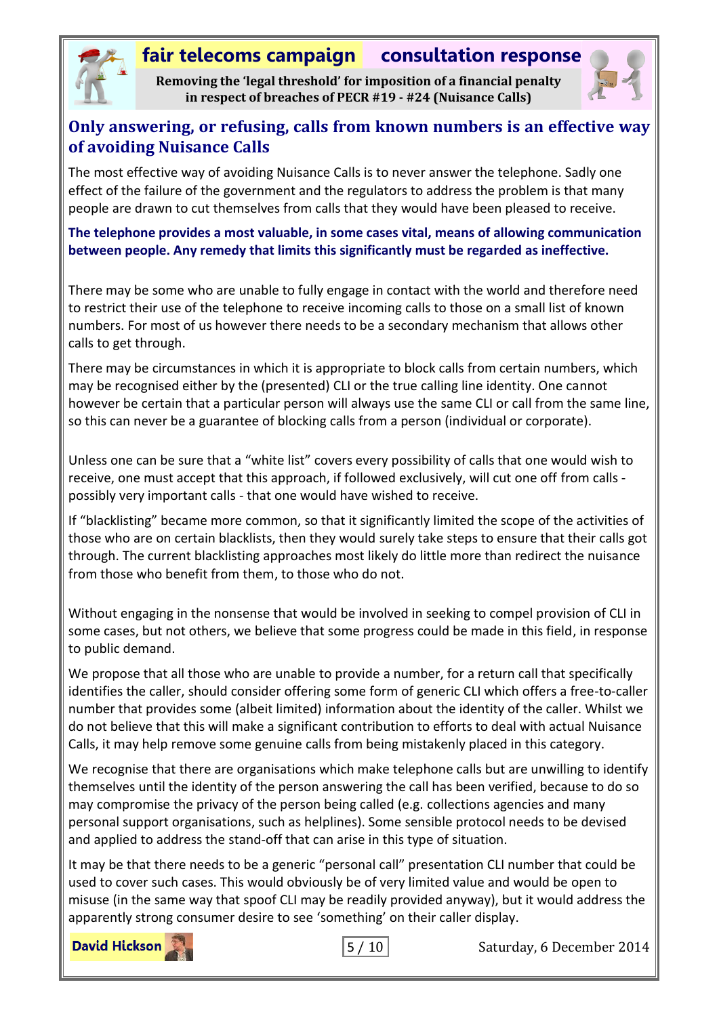

**Removing the 'legal threshold' for imposition of a financial penalty in respect of breaches of PECR #19 - #24 (Nuisance Calls)**



#### <span id="page-4-0"></span>**Only answering, or refusing, calls from known numbers is an effective way of avoiding Nuisance Calls**

The most effective way of avoiding Nuisance Calls is to never answer the telephone. Sadly one effect of the failure of the government and the regulators to address the problem is that many people are drawn to cut themselves from calls that they would have been pleased to receive.

**The telephone provides a most valuable, in some cases vital, means of allowing communication between people. Any remedy that limits this significantly must be regarded as ineffective.**

There may be some who are unable to fully engage in contact with the world and therefore need to restrict their use of the telephone to receive incoming calls to those on a small list of known numbers. For most of us however there needs to be a secondary mechanism that allows other calls to get through.

There may be circumstances in which it is appropriate to block calls from certain numbers, which may be recognised either by the (presented) CLI or the true calling line identity. One cannot however be certain that a particular person will always use the same CLI or call from the same line, so this can never be a guarantee of blocking calls from a person (individual or corporate).

Unless one can be sure that a "white list" covers every possibility of calls that one would wish to receive, one must accept that this approach, if followed exclusively, will cut one off from calls possibly very important calls - that one would have wished to receive.

If "blacklisting" became more common, so that it significantly limited the scope of the activities of those who are on certain blacklists, then they would surely take steps to ensure that their calls got through. The current blacklisting approaches most likely do little more than redirect the nuisance from those who benefit from them, to those who do not.

Without engaging in the nonsense that would be involved in seeking to compel provision of CLI in some cases, but not others, we believe that some progress could be made in this field, in response to public demand.

We propose that all those who are unable to provide a number, for a return call that specifically identifies the caller, should consider offering some form of generic CLI which offers a free-to-caller number that provides some (albeit limited) information about the identity of the caller. Whilst we do not believe that this will make a significant contribution to efforts to deal with actual Nuisance Calls, it may help remove some genuine calls from being mistakenly placed in this category.

We recognise that there are organisations which make telephone calls but are unwilling to identify themselves until the identity of the person answering the call has been verified, because to do so may compromise the privacy of the person being called (e.g. collections agencies and many personal support organisations, such as helplines). Some sensible protocol needs to be devised and applied to address the stand-off that can arise in this type of situation.

It may be that there needs to be a generic "personal call" presentation CLI number that could be used to cover such cases. This would obviously be of very limited value and would be open to misuse (in the same way that spoof CLI may be readily provided anyway), but it would address the apparently strong consumer desire to see 'something' on their caller display.

**David Hickson** 

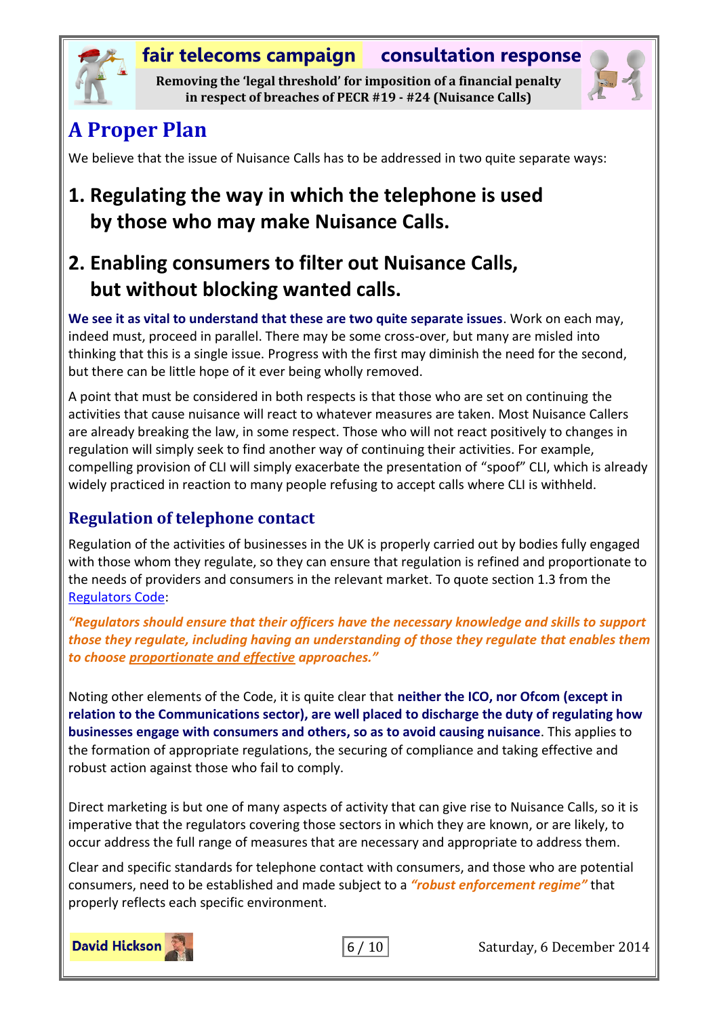

**Removing the 'legal threshold' for imposition of a financial penalty in respect of breaches of PECR #19 - #24 (Nuisance Calls)**



# <span id="page-5-0"></span>**A Proper Plan**

We believe that the issue of Nuisance Calls has to be addressed in two quite separate ways:

# **1. Regulating the way in which the telephone is used by those who may make Nuisance Calls.**

# **2. Enabling consumers to filter out Nuisance Calls, but without blocking wanted calls.**

**We see it as vital to understand that these are two quite separate issues**. Work on each may, indeed must, proceed in parallel. There may be some cross-over, but many are misled into thinking that this is a single issue. Progress with the first may diminish the need for the second, but there can be little hope of it ever being wholly removed.

A point that must be considered in both respects is that those who are set on continuing the activities that cause nuisance will react to whatever measures are taken. Most Nuisance Callers are already breaking the law, in some respect. Those who will not react positively to changes in regulation will simply seek to find another way of continuing their activities. For example, compelling provision of CLI will simply exacerbate the presentation of "spoof" CLI, which is already widely practiced in reaction to many people refusing to accept calls where CLI is withheld.

#### <span id="page-5-1"></span>**Regulation of telephone contact**

Regulation of the activities of businesses in the UK is properly carried out by bodies fully engaged with those whom they regulate, so they can ensure that regulation is refined and proportionate to the needs of providers and consumers in the relevant market. To quote section 1.3 from the [Regulators Code:](http://webarchive.nationalarchives.gov.uk/20121212135622/http:/www.bis.gov.uk/assets/brdo/docs/publications-2013/13-1016-regulators-code.pdf)

*"Regulators should ensure that their officers have the necessary knowledge and skills to support those they regulate, including having an understanding of those they regulate that enables them to choose proportionate and effective approaches."*

Noting other elements of the Code, it is quite clear that **neither the ICO, nor Ofcom (except in relation to the Communications sector), are well placed to discharge the duty of regulating how businesses engage with consumers and others, so as to avoid causing nuisance**. This applies to the formation of appropriate regulations, the securing of compliance and taking effective and robust action against those who fail to comply.

Direct marketing is but one of many aspects of activity that can give rise to Nuisance Calls, so it is imperative that the regulators covering those sectors in which they are known, or are likely, to occur address the full range of measures that are necessary and appropriate to address them.

Clear and specific standards for telephone contact with consumers, and those who are potential consumers, need to be established and made subject to a *"robust enforcement regime"* that properly reflects each specific environment.





 $\begin{array}{|c|c|c|}\n6 / 10 & \text{Saturday, 6 December 2014}\n\end{array}$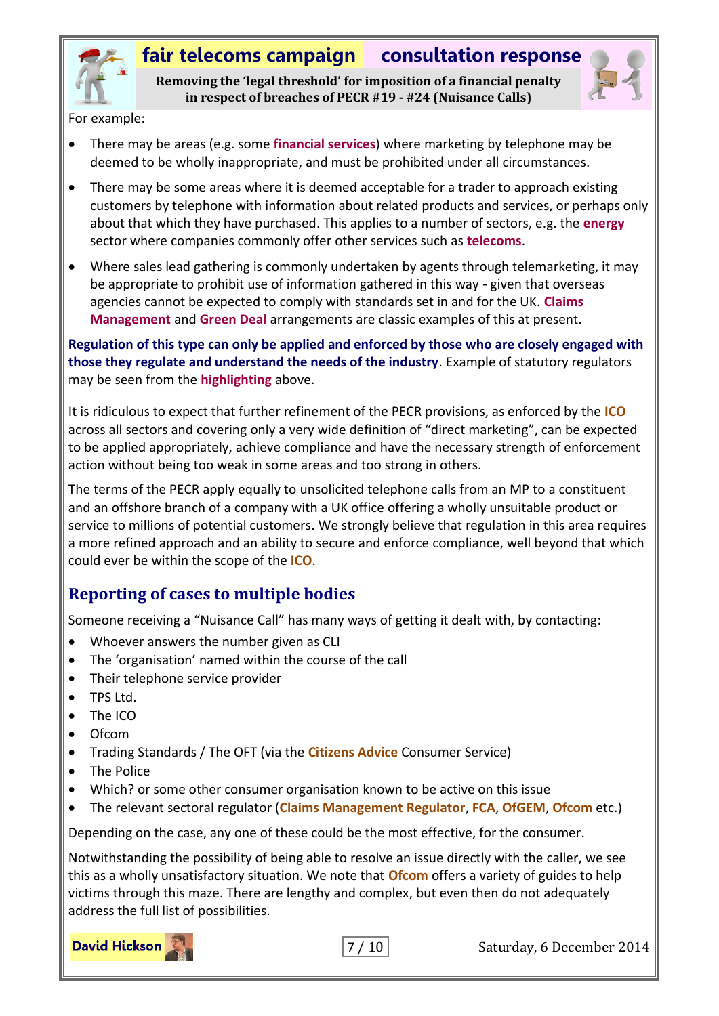

**Removing the 'legal threshold' for imposition of a financial penalty in respect of breaches of PECR #19 - #24 (Nuisance Calls)**



For example:

- There may be areas (e.g. some **financial services**) where marketing by telephone may be deemed to be wholly inappropriate, and must be prohibited under all circumstances.
- There may be some areas where it is deemed acceptable for a trader to approach existing customers by telephone with information about related products and services, or perhaps only about that which they have purchased. This applies to a number of sectors, e.g. the **energy** sector where companies commonly offer other services such as **telecoms**.
- Where sales lead gathering is commonly undertaken by agents through telemarketing, it may be appropriate to prohibit use of information gathered in this way - given that overseas agencies cannot be expected to comply with standards set in and for the UK. **Claims Management** and **Green Deal** arrangements are classic examples of this at present.

**Regulation of this type can only be applied and enforced by those who are closely engaged with those they regulate and understand the needs of the industry**. Example of statutory regulators may be seen from the **highlighting** above.

It is ridiculous to expect that further refinement of the PECR provisions, as enforced by the **ICO** across all sectors and covering only a very wide definition of "direct marketing", can be expected to be applied appropriately, achieve compliance and have the necessary strength of enforcement action without being too weak in some areas and too strong in others.

The terms of the PECR apply equally to unsolicited telephone calls from an MP to a constituent and an offshore branch of a company with a UK office offering a wholly unsuitable product or service to millions of potential customers. We strongly believe that regulation in this area requires a more refined approach and an ability to secure and enforce compliance, well beyond that which could ever be within the scope of the **ICO**.

#### <span id="page-6-0"></span>**Reporting of cases to multiple bodies**

Someone receiving a "Nuisance Call" has many ways of getting it dealt with, by contacting:

- Whoever answers the number given as CLI
- The 'organisation' named within the course of the call
- Their telephone service provider
- TPS Ltd.
- The ICO
- Ofcom
- Trading Standards / The OFT (via the **Citizens Advice** Consumer Service)
- The Police
- Which? or some other consumer organisation known to be active on this issue
- The relevant sectoral regulator (**Claims Management Regulator**, **FCA**, **OfGEM**, **Ofcom** etc.)

Depending on the case, any one of these could be the most effective, for the consumer.

Notwithstanding the possibility of being able to resolve an issue directly with the caller, we see this as a wholly unsatisfactory situation. We note that **Ofcom** offers a variety of guides to help victims through this maze. There are lengthy and complex, but even then do not adequately address the full list of possibilities.

**David Hickson** 

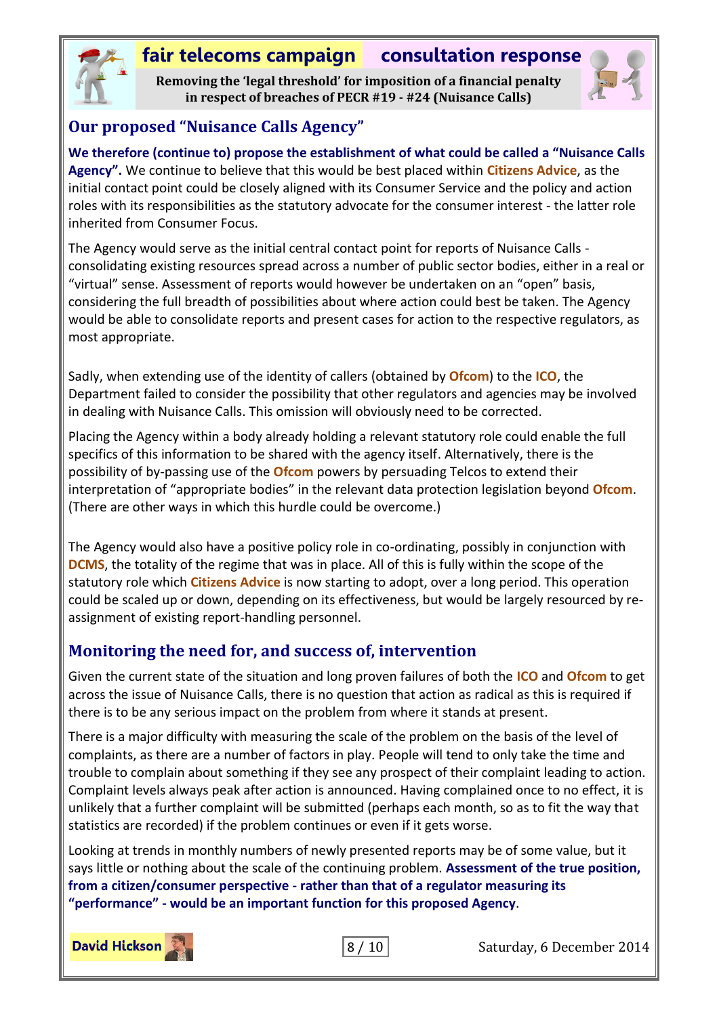

**Removing the 'legal threshold' for imposition of a financial penalty in respect of breaches of PECR #19 - #24 (Nuisance Calls)**



#### <span id="page-7-0"></span>**Our proposed "Nuisance Calls Agency"**

**We therefore (continue to) propose the establishment of what could be called a "Nuisance Calls Agency".** We continue to believe that this would be best placed within **Citizens Advice**, as the initial contact point could be closely aligned with its Consumer Service and the policy and action roles with its responsibilities as the statutory advocate for the consumer interest - the latter role inherited from Consumer Focus.

The Agency would serve as the initial central contact point for reports of Nuisance Calls consolidating existing resources spread across a number of public sector bodies, either in a real or "virtual" sense. Assessment of reports would however be undertaken on an "open" basis, considering the full breadth of possibilities about where action could best be taken. The Agency would be able to consolidate reports and present cases for action to the respective regulators, as most appropriate.

Sadly, when extending use of the identity of callers (obtained by **Ofcom**) to the **ICO**, the Department failed to consider the possibility that other regulators and agencies may be involved in dealing with Nuisance Calls. This omission will obviously need to be corrected.

Placing the Agency within a body already holding a relevant statutory role could enable the full specifics of this information to be shared with the agency itself. Alternatively, there is the possibility of by-passing use of the **Ofcom** powers by persuading Telcos to extend their interpretation of "appropriate bodies" in the relevant data protection legislation beyond **Ofcom**. (There are other ways in which this hurdle could be overcome.)

The Agency would also have a positive policy role in co-ordinating, possibly in conjunction with **DCMS**, the totality of the regime that was in place. All of this is fully within the scope of the statutory role which **Citizens Advice** is now starting to adopt, over a long period. This operation could be scaled up or down, depending on its effectiveness, but would be largely resourced by reassignment of existing report-handling personnel.

#### <span id="page-7-1"></span>**Monitoring the need for, and success of, intervention**

Given the current state of the situation and long proven failures of both the **ICO** and **Ofcom** to get across the issue of Nuisance Calls, there is no question that action as radical as this is required if there is to be any serious impact on the problem from where it stands at present.

There is a major difficulty with measuring the scale of the problem on the basis of the level of complaints, as there are a number of factors in play. People will tend to only take the time and trouble to complain about something if they see any prospect of their complaint leading to action. Complaint levels always peak after action is announced. Having complained once to no effect, it is unlikely that a further complaint will be submitted (perhaps each month, so as to fit the way that statistics are recorded) if the problem continues or even if it gets worse.

Looking at trends in monthly numbers of newly presented reports may be of some value, but it says little or nothing about the scale of the continuing problem. **Assessment of the true position, from a citizen/consumer perspective - rather than that of a regulator measuring its "performance" - would be an important function for this proposed Agency**.



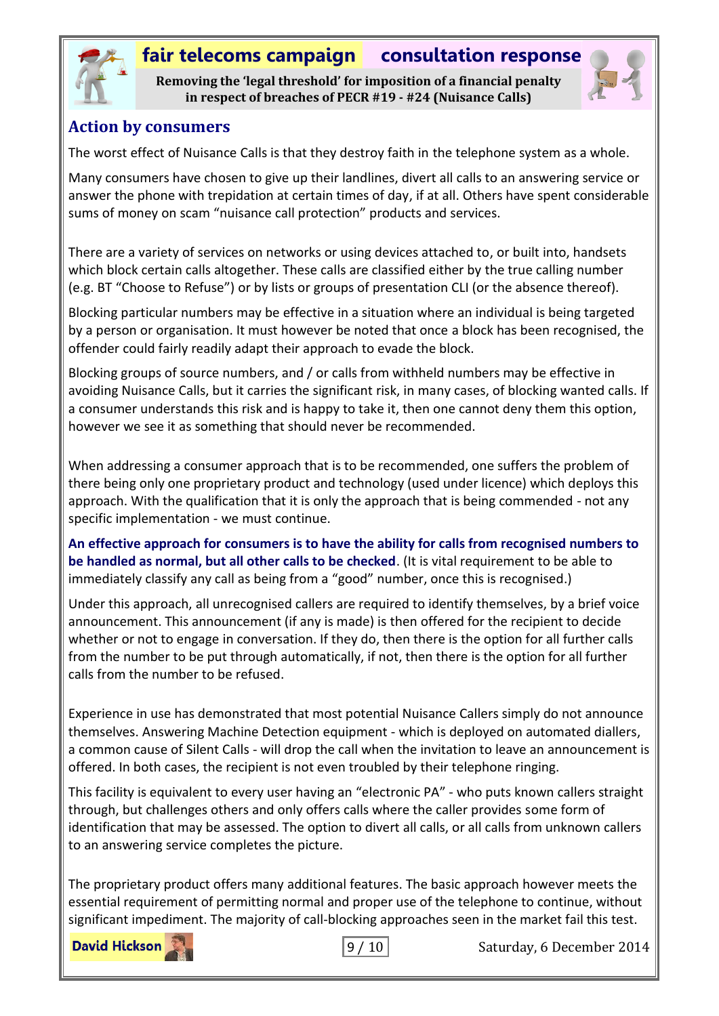

**Removing the 'legal threshold' for imposition of a financial penalty in respect of breaches of PECR #19 - #24 (Nuisance Calls)**



#### <span id="page-8-0"></span>**Action by consumers**

The worst effect of Nuisance Calls is that they destroy faith in the telephone system as a whole.

Many consumers have chosen to give up their landlines, divert all calls to an answering service or answer the phone with trepidation at certain times of day, if at all. Others have spent considerable sums of money on scam "nuisance call protection" products and services.

There are a variety of services on networks or using devices attached to, or built into, handsets which block certain calls altogether. These calls are classified either by the true calling number (e.g. BT "Choose to Refuse") or by lists or groups of presentation CLI (or the absence thereof).

Blocking particular numbers may be effective in a situation where an individual is being targeted by a person or organisation. It must however be noted that once a block has been recognised, the offender could fairly readily adapt their approach to evade the block.

Blocking groups of source numbers, and / or calls from withheld numbers may be effective in avoiding Nuisance Calls, but it carries the significant risk, in many cases, of blocking wanted calls. If a consumer understands this risk and is happy to take it, then one cannot deny them this option, however we see it as something that should never be recommended.

When addressing a consumer approach that is to be recommended, one suffers the problem of there being only one proprietary product and technology (used under licence) which deploys this approach. With the qualification that it is only the approach that is being commended - not any specific implementation - we must continue.

**An effective approach for consumers is to have the ability for calls from recognised numbers to be handled as normal, but all other calls to be checked**. (It is vital requirement to be able to immediately classify any call as being from a "good" number, once this is recognised.)

Under this approach, all unrecognised callers are required to identify themselves, by a brief voice announcement. This announcement (if any is made) is then offered for the recipient to decide whether or not to engage in conversation. If they do, then there is the option for all further calls from the number to be put through automatically, if not, then there is the option for all further calls from the number to be refused.

Experience in use has demonstrated that most potential Nuisance Callers simply do not announce themselves. Answering Machine Detection equipment - which is deployed on automated diallers, a common cause of Silent Calls - will drop the call when the invitation to leave an announcement is offered. In both cases, the recipient is not even troubled by their telephone ringing.

This facility is equivalent to every user having an "electronic PA" - who puts known callers straight through, but challenges others and only offers calls where the caller provides some form of identification that may be assessed. The option to divert all calls, or all calls from unknown callers to an answering service completes the picture.

The proprietary product offers many additional features. The basic approach however meets the essential requirement of permitting normal and proper use of the telephone to continue, without significant impediment. The majority of call-blocking approaches seen in the market fail this test.

**David Hickson**